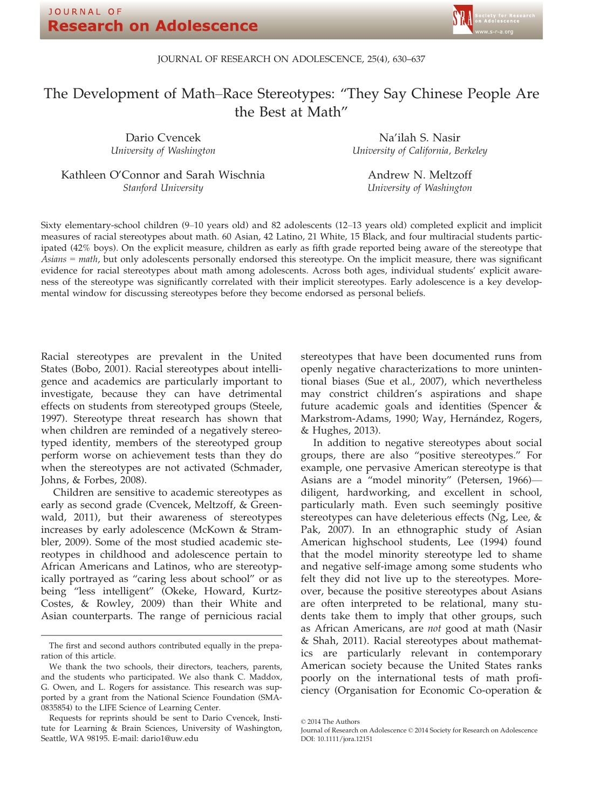

## JOURNAL OF RESEARCH ON ADOLESCENCE, 25(4), 630–637

# The Development of Math–Race Stereotypes: "They Say Chinese People Are the Best at Math"

Dario Cvencek University of Washington

Na'ilah S. Nasir University of California, Berkeley

Kathleen O'Connor and Sarah Wischnia Stanford University

Andrew N. Meltzoff University of Washington

Sixty elementary-school children (9–10 years old) and 82 adolescents (12–13 years old) completed explicit and implicit measures of racial stereotypes about math. 60 Asian, 42 Latino, 21 White, 15 Black, and four multiracial students participated (42% boys). On the explicit measure, children as early as fifth grade reported being aware of the stereotype that  $\overline{A}$ sians = math, but only adolescents personally endorsed this stereotype. On the implicit measure, there was significant evidence for racial stereotypes about math among adolescents. Across both ages, individual students' explicit awareness of the stereotype was significantly correlated with their implicit stereotypes. Early adolescence is a key developmental window for discussing stereotypes before they become endorsed as personal beliefs.

Racial stereotypes are prevalent in the United States (Bobo, 2001). Racial stereotypes about intelligence and academics are particularly important to investigate, because they can have detrimental effects on students from stereotyped groups (Steele, 1997). Stereotype threat research has shown that when children are reminded of a negatively stereotyped identity, members of the stereotyped group perform worse on achievement tests than they do when the stereotypes are not activated (Schmader, Johns, & Forbes, 2008).

Children are sensitive to academic stereotypes as early as second grade (Cvencek, Meltzoff, & Greenwald, 2011), but their awareness of stereotypes increases by early adolescence (McKown & Strambler, 2009). Some of the most studied academic stereotypes in childhood and adolescence pertain to African Americans and Latinos, who are stereotypically portrayed as "caring less about school" or as being "less intelligent" (Okeke, Howard, Kurtz-Costes, & Rowley, 2009) than their White and Asian counterparts. The range of pernicious racial stereotypes that have been documented runs from openly negative characterizations to more unintentional biases (Sue et al., 2007), which nevertheless may constrict children's aspirations and shape future academic goals and identities (Spencer & Markstrom-Adams, 1990; Way, Hernández, Rogers, & Hughes, 2013).

In addition to negative stereotypes about social groups, there are also "positive stereotypes." For example, one pervasive American stereotype is that Asians are a "model minority" (Petersen, 1966) diligent, hardworking, and excellent in school, particularly math. Even such seemingly positive stereotypes can have deleterious effects (Ng, Lee, & Pak, 2007). In an ethnographic study of Asian American highschool students, Lee (1994) found that the model minority stereotype led to shame and negative self-image among some students who felt they did not live up to the stereotypes. Moreover, because the positive stereotypes about Asians are often interpreted to be relational, many students take them to imply that other groups, such as African Americans, are not good at math (Nasir & Shah, 2011). Racial stereotypes about mathematics are particularly relevant in contemporary American society because the United States ranks poorly on the international tests of math proficiency (Organisation for Economic Co-operation &

The first and second authors contributed equally in the preparation of this article.

We thank the two schools, their directors, teachers, parents, and the students who participated. We also thank C. Maddox, G. Owen, and L. Rogers for assistance. This research was supported by a grant from the National Science Foundation (SMA-0835854) to the LIFE Science of Learning Center.

Requests for reprints should be sent to Dario Cvencek, Institute for Learning & Brain Sciences, University of Washington, Seattle, WA 98195. E-mail: dario1@uw.edu

<sup>©</sup> 2014 The Authors

Journal of Research on Adolescence © 2014 Society for Research on Adolescence DOI: 10.1111/jora.12151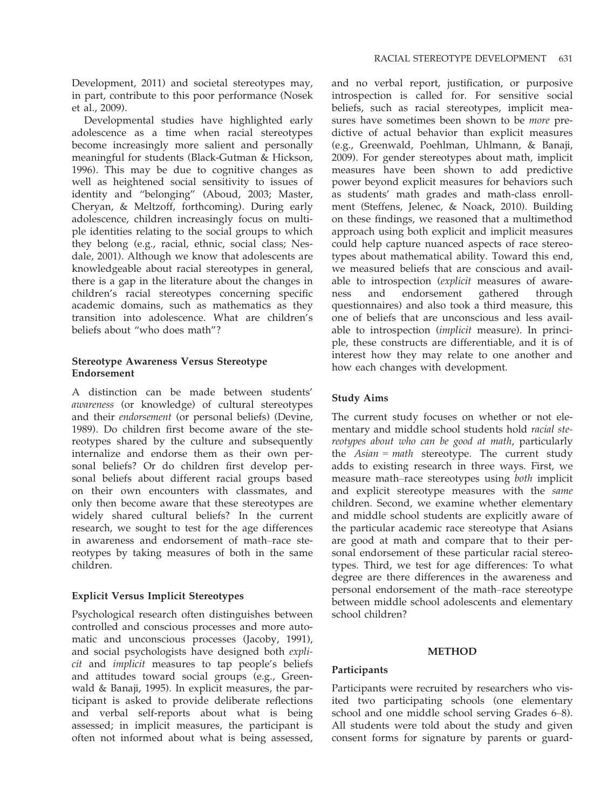Development, 2011) and societal stereotypes may, in part, contribute to this poor performance (Nosek et al., 2009).

Developmental studies have highlighted early adolescence as a time when racial stereotypes become increasingly more salient and personally meaningful for students (Black-Gutman & Hickson, 1996). This may be due to cognitive changes as well as heightened social sensitivity to issues of identity and "belonging" (Aboud, 2003; Master, Cheryan, & Meltzoff, forthcoming). During early adolescence, children increasingly focus on multiple identities relating to the social groups to which they belong (e.g., racial, ethnic, social class; Nesdale, 2001). Although we know that adolescents are knowledgeable about racial stereotypes in general, there is a gap in the literature about the changes in children's racial stereotypes concerning specific academic domains, such as mathematics as they transition into adolescence. What are children's beliefs about "who does math"?

# Stereotype Awareness Versus Stereotype Endorsement

A distinction can be made between students' awareness (or knowledge) of cultural stereotypes and their endorsement (or personal beliefs) (Devine, 1989). Do children first become aware of the stereotypes shared by the culture and subsequently internalize and endorse them as their own personal beliefs? Or do children first develop personal beliefs about different racial groups based on their own encounters with classmates, and only then become aware that these stereotypes are widely shared cultural beliefs? In the current research, we sought to test for the age differences in awareness and endorsement of math–race stereotypes by taking measures of both in the same children.

# Explicit Versus Implicit Stereotypes

Psychological research often distinguishes between controlled and conscious processes and more automatic and unconscious processes (Jacoby, 1991), and social psychologists have designed both explicit and implicit measures to tap people's beliefs and attitudes toward social groups (e.g., Greenwald & Banaji, 1995). In explicit measures, the participant is asked to provide deliberate reflections and verbal self-reports about what is being assessed; in implicit measures, the participant is often not informed about what is being assessed,

and no verbal report, justification, or purposive introspection is called for. For sensitive social beliefs, such as racial stereotypes, implicit measures have sometimes been shown to be *more* predictive of actual behavior than explicit measures (e.g., Greenwald, Poehlman, Uhlmann, & Banaji, 2009). For gender stereotypes about math, implicit measures have been shown to add predictive power beyond explicit measures for behaviors such as students' math grades and math-class enrollment (Steffens, Jelenec, & Noack, 2010). Building on these findings, we reasoned that a multimethod approach using both explicit and implicit measures could help capture nuanced aspects of race stereotypes about mathematical ability. Toward this end, we measured beliefs that are conscious and available to introspection (explicit measures of awareness and endorsement gathered through questionnaires) and also took a third measure, this one of beliefs that are unconscious and less available to introspection (implicit measure). In principle, these constructs are differentiable, and it is of interest how they may relate to one another and how each changes with development.

# Study Aims

The current study focuses on whether or not elementary and middle school students hold racial stereotypes about who can be good at math, particularly the  $Asian = math$  stereotype. The current study adds to existing research in three ways. First, we measure math–race stereotypes using both implicit and explicit stereotype measures with the same children. Second, we examine whether elementary and middle school students are explicitly aware of the particular academic race stereotype that Asians are good at math and compare that to their personal endorsement of these particular racial stereotypes. Third, we test for age differences: To what degree are there differences in the awareness and personal endorsement of the math–race stereotype between middle school adolescents and elementary school children?

#### METHOD

# Participants

Participants were recruited by researchers who visited two participating schools (one elementary school and one middle school serving Grades 6–8). All students were told about the study and given consent forms for signature by parents or guard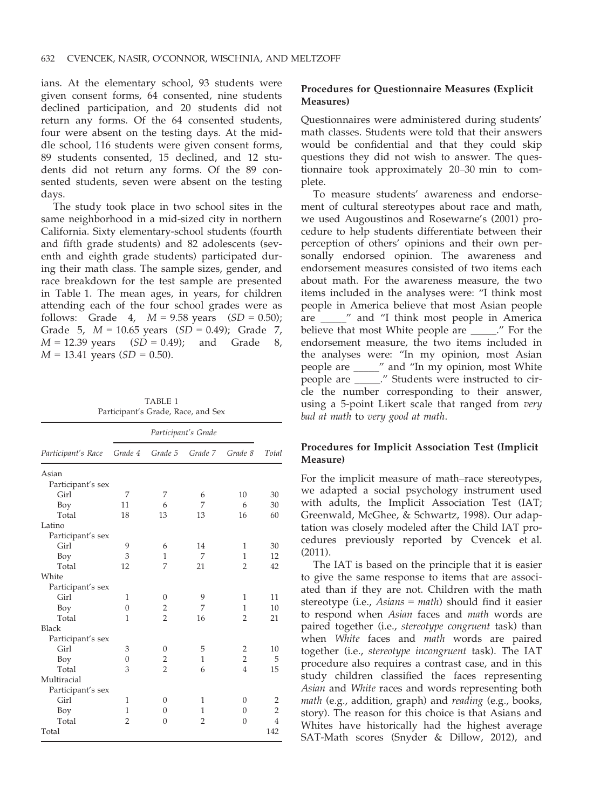ians. At the elementary school, 93 students were given consent forms, 64 consented, nine students declined participation, and 20 students did not return any forms. Of the 64 consented students, four were absent on the testing days. At the middle school, 116 students were given consent forms, 89 students consented, 15 declined, and 12 students did not return any forms. Of the 89 consented students, seven were absent on the testing days.

The study took place in two school sites in the same neighborhood in a mid-sized city in northern California. Sixty elementary-school students (fourth and fifth grade students) and 82 adolescents (seventh and eighth grade students) participated during their math class. The sample sizes, gender, and race breakdown for the test sample are presented in Table 1. The mean ages, in years, for children attending each of the four school grades were as follows: Grade 4,  $M = 9.58$  years  $(SD = 0.50)$ ; Grade 5,  $M = 10.65$  years  $(SD = 0.49)$ ; Grade 7,  $M = 12.39 \text{ years}$   $(SD = 0.49)$ ; and Grade 8,  $M = 13.41$  years  $(SD = 0.50)$ .

TABLE 1 Participant's Grade, Race, and Sex

|                    | Participant's Grade |                |                |                |                |  |
|--------------------|---------------------|----------------|----------------|----------------|----------------|--|
| Participant's Race | Grade 4             | Grade 5        | Grade 7        | Grade 8        | Total          |  |
| Asian              |                     |                |                |                |                |  |
| Participant's sex  |                     |                |                |                |                |  |
| Girl               | 7                   | 7              | 6              | 10             | 30             |  |
| Boy                | 11                  | 6              | 7              | 6              | 30             |  |
| Total              | 18                  | 13             | 13             | 16             | 60             |  |
| Latino             |                     |                |                |                |                |  |
| Participant's sex  |                     |                |                |                |                |  |
| Girl               | 9                   | 6              | 14             | 1              | 30             |  |
| Boy                | 3                   | 1              | 7              | 1              | 12             |  |
| Total              | 12                  | 7              | 21             | $\overline{2}$ | 42             |  |
| White              |                     |                |                |                |                |  |
| Participant's sex  |                     |                |                |                |                |  |
| Girl               | 1                   | $\overline{0}$ | 9              | 1              | 11             |  |
| Boy                | $\overline{0}$      | $\overline{2}$ | 7              | 1              | 10             |  |
| Total              | $\mathbf{1}$        | $\overline{2}$ | 16             | $\overline{2}$ | 21             |  |
| Black              |                     |                |                |                |                |  |
| Participant's sex  |                     |                |                |                |                |  |
| Girl               | 3                   | $\Omega$       | 5              | 2              | 10             |  |
| Boy                | $\overline{0}$      | $\overline{2}$ | 1              | $\overline{2}$ | 5              |  |
| Total              | 3                   | $\overline{2}$ | 6              | $\overline{4}$ | 15             |  |
| Multiracial        |                     |                |                |                |                |  |
| Participant's sex  |                     |                |                |                |                |  |
| Girl               | 1                   | 0              | 1              | $\Omega$       | 2              |  |
| Boy                | 1                   | $\Omega$       | 1              | $\Omega$       | $\overline{2}$ |  |
| Total              | $\overline{2}$      | $\Omega$       | $\overline{2}$ | $\Omega$       | $\overline{4}$ |  |
| Total              |                     |                |                |                | 142            |  |

# Procedures for Questionnaire Measures (Explicit Measures)

Questionnaires were administered during students' math classes. Students were told that their answers would be confidential and that they could skip questions they did not wish to answer. The questionnaire took approximately 20–30 min to complete.

To measure students' awareness and endorsement of cultural stereotypes about race and math, we used Augoustinos and Rosewarne's (2001) procedure to help students differentiate between their perception of others' opinions and their own personally endorsed opinion. The awareness and endorsement measures consisted of two items each about math. For the awareness measure, the two items included in the analyses were: "I think most people in America believe that most Asian people " and "I think most people in America believe that most White people are  $\blacksquare$ . " For the endorsement measure, the two items included in the analyses were: "In my opinion, most Asian people are \_\_\_\_\_" and "In my opinion, most White people are \_\_\_\_\_." Students were instructed to circle the number corresponding to their answer, using a 5-point Likert scale that ranged from very bad at math to very good at math.

# Procedures for Implicit Association Test (Implicit Measure)

For the implicit measure of math–race stereotypes, we adapted a social psychology instrument used with adults, the Implicit Association Test (IAT; Greenwald, McGhee, & Schwartz, 1998). Our adaptation was closely modeled after the Child IAT procedures previously reported by Cvencek et al. (2011).

The IAT is based on the principle that it is easier to give the same response to items that are associated than if they are not. Children with the math stereotype (i.e.,  $Asians = math$ ) should find it easier to respond when Asian faces and math words are paired together (i.e., stereotype congruent task) than when White faces and math words are paired together (i.e., stereotype incongruent task). The IAT procedure also requires a contrast case, and in this study children classified the faces representing Asian and White races and words representing both math (e.g., addition, graph) and reading (e.g., books, story). The reason for this choice is that Asians and Whites have historically had the highest average SAT-Math scores (Snyder & Dillow, 2012), and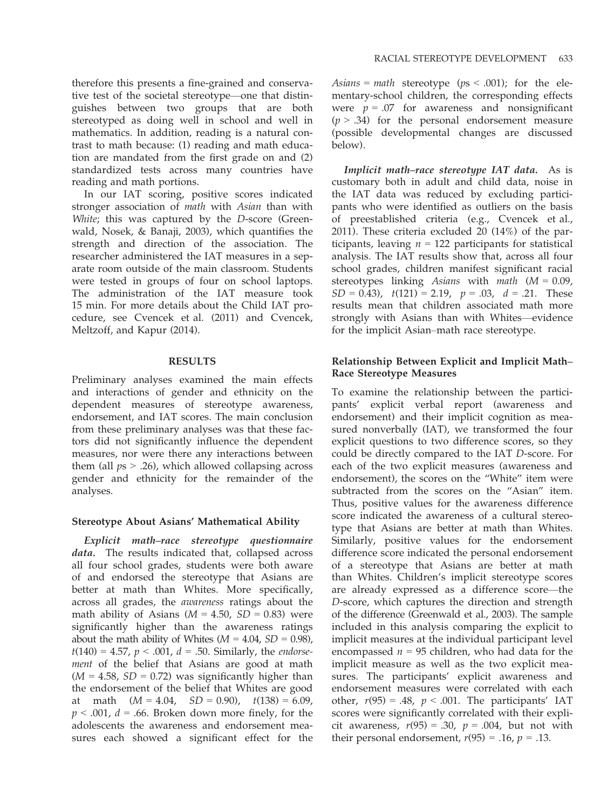therefore this presents a fine-grained and conservative test of the societal stereotype—one that distinguishes between two groups that are both stereotyped as doing well in school and well in mathematics. In addition, reading is a natural contrast to math because: (1) reading and math education are mandated from the first grade on and (2) standardized tests across many countries have reading and math portions.

In our IAT scoring, positive scores indicated stronger association of math with Asian than with White; this was captured by the D-score (Greenwald, Nosek, & Banaji, 2003), which quantifies the strength and direction of the association. The researcher administered the IAT measures in a separate room outside of the main classroom. Students were tested in groups of four on school laptops. The administration of the IAT measure took 15 min. For more details about the Child IAT procedure, see Cvencek et al. (2011) and Cvencek, Meltzoff, and Kapur (2014).

### RESULTS

Preliminary analyses examined the main effects and interactions of gender and ethnicity on the dependent measures of stereotype awareness, endorsement, and IAT scores. The main conclusion from these preliminary analyses was that these factors did not significantly influence the dependent measures, nor were there any interactions between them (all  $ps > .26$ ), which allowed collapsing across gender and ethnicity for the remainder of the analyses.

# Stereotype About Asians' Mathematical Ability

Explicit math–race stereotype questionnaire data. The results indicated that, collapsed across all four school grades, students were both aware of and endorsed the stereotype that Asians are better at math than Whites. More specifically, across all grades, the awareness ratings about the math ability of Asians ( $M = 4.50$ ,  $SD = 0.83$ ) were significantly higher than the awareness ratings about the math ability of Whites  $(M = 4.04, SD = 0.98)$ ,  $t(140) = 4.57$ ,  $p < .001$ ,  $d = .50$ . Similarly, the *endorse*ment of the belief that Asians are good at math  $(M = 4.58, SD = 0.72)$  was significantly higher than the endorsement of the belief that Whites are good at math  $(M = 4.04, SD = 0.90), t(138) = 6.09,$  $p < .001$ ,  $d = .66$ . Broken down more finely, for the adolescents the awareness and endorsement measures each showed a significant effect for the

Asians = math stereotype ( $ps < .001$ ); for the elementary-school children, the corresponding effects were  $p = .07$  for awareness and nonsignificant  $(p > .34)$  for the personal endorsement measure (possible developmental changes are discussed below).

Implicit math–race stereotype IAT data. As is customary both in adult and child data, noise in the IAT data was reduced by excluding participants who were identified as outliers on the basis of preestablished criteria (e.g., Cvencek et al., 2011). These criteria excluded 20 (14%) of the participants, leaving  $n = 122$  participants for statistical analysis. The IAT results show that, across all four school grades, children manifest significant racial stereotypes linking Asians with math  $(M = 0.09)$ ,  $SD = 0.43$ ,  $t(121) = 2.19$ ,  $p = .03$ ,  $d = .21$ . These results mean that children associated math more strongly with Asians than with Whites—evidence for the implicit Asian–math race stereotype.

# Relationship Between Explicit and Implicit Math– Race Stereotype Measures

To examine the relationship between the participants' explicit verbal report (awareness and endorsement) and their implicit cognition as measured nonverbally (IAT), we transformed the four explicit questions to two difference scores, so they could be directly compared to the IAT D-score. For each of the two explicit measures (awareness and endorsement), the scores on the "White" item were subtracted from the scores on the "Asian" item. Thus, positive values for the awareness difference score indicated the awareness of a cultural stereotype that Asians are better at math than Whites. Similarly, positive values for the endorsement difference score indicated the personal endorsement of a stereotype that Asians are better at math than Whites. Children's implicit stereotype scores are already expressed as a difference score—the D-score, which captures the direction and strength of the difference (Greenwald et al., 2003). The sample included in this analysis comparing the explicit to implicit measures at the individual participant level encompassed  $n = 95$  children, who had data for the implicit measure as well as the two explicit measures. The participants' explicit awareness and endorsement measures were correlated with each other,  $r(95) = .48$ ,  $p < .001$ . The participants' IAT scores were significantly correlated with their explicit awareness,  $r(95) = .30$ ,  $p = .004$ , but not with their personal endorsement,  $r(95) = .16$ ,  $p = .13$ .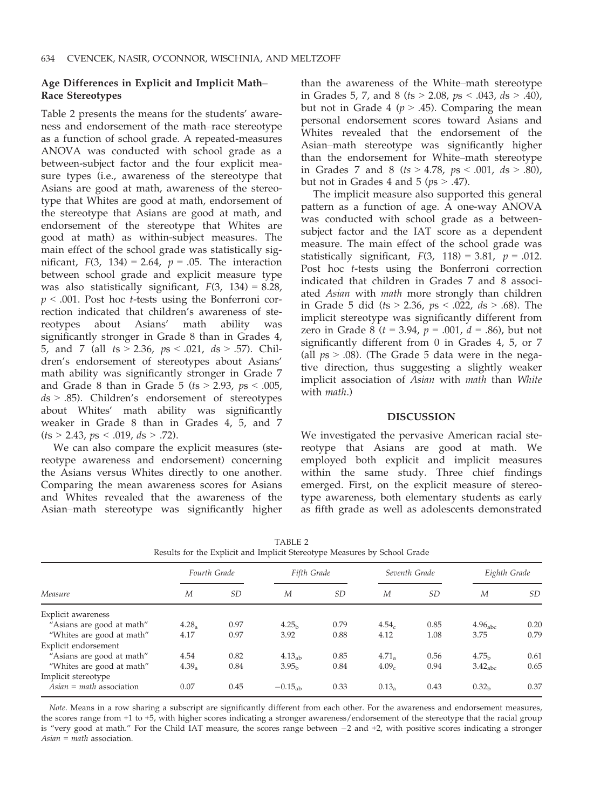# Age Differences in Explicit and Implicit Math– Race Stereotypes

Table 2 presents the means for the students' awareness and endorsement of the math–race stereotype as a function of school grade. A repeated-measures ANOVA was conducted with school grade as a between-subject factor and the four explicit measure types (i.e., awareness of the stereotype that Asians are good at math, awareness of the stereotype that Whites are good at math, endorsement of the stereotype that Asians are good at math, and endorsement of the stereotype that Whites are good at math) as within-subject measures. The main effect of the school grade was statistically significant,  $F(3, 134) = 2.64$ ,  $p = .05$ . The interaction between school grade and explicit measure type was also statistically significant,  $F(3, 134) = 8.28$ ,  $p < .001$ . Post hoc *t*-tests using the Bonferroni correction indicated that children's awareness of stereotypes about Asians' math ability was significantly stronger in Grade 8 than in Grades 4, 5, and 7 (all  $ts > 2.36$ ,  $ps < .021$ ,  $ds > .57$ ). Children's endorsement of stereotypes about Asians' math ability was significantly stronger in Grade 7 and Grade 8 than in Grade 5 ( $ts > 2.93$ ,  $ps < .005$ ,  $ds > .85$ ). Children's endorsement of stereotypes about Whites' math ability was significantly weaker in Grade 8 than in Grades 4, 5, and 7  $(ts > 2.43, ps < .019, ds > .72).$ 

We can also compare the explicit measures (stereotype awareness and endorsement) concerning the Asians versus Whites directly to one another. Comparing the mean awareness scores for Asians and Whites revealed that the awareness of the Asian–math stereotype was significantly higher than the awareness of the White–math stereotype in Grades 5, 7, and 8 (ts > 2.08,  $ps < .043$ ,  $ds > .40$ ), but not in Grade 4 ( $p > .45$ ). Comparing the mean personal endorsement scores toward Asians and Whites revealed that the endorsement of the Asian–math stereotype was significantly higher than the endorsement for White–math stereotype in Grades 7 and 8 ( $ts > 4.78$ ,  $ps < .001$ ,  $ds > .80$ ), but not in Grades 4 and 5 ( $ps > .47$ ).

The implicit measure also supported this general pattern as a function of age. A one-way ANOVA was conducted with school grade as a betweensubject factor and the IAT score as a dependent measure. The main effect of the school grade was statistically significant,  $F(3, 118) = 3.81$ ,  $p = .012$ . Post hoc t-tests using the Bonferroni correction indicated that children in Grades 7 and 8 associated Asian with math more strongly than children in Grade 5 did ( $ts > 2.36$ ,  $ps < .022$ ,  $ds > .68$ ). The implicit stereotype was significantly different from zero in Grade 8 ( $t = 3.94$ ,  $p = .001$ ,  $d = .86$ ), but not significantly different from 0 in Grades 4, 5, or 7 (all  $ps > .08$ ). (The Grade 5 data were in the negative direction, thus suggesting a slightly weaker implicit association of Asian with math than White with math.)

## DISCUSSION

We investigated the pervasive American racial stereotype that Asians are good at math. We employed both explicit and implicit measures within the same study. Three chief findings emerged. First, on the explicit measure of stereotype awareness, both elementary students as early as fifth grade as well as adolescents demonstrated

| Measure                    | Fourth Grade      |           | Fifth Grade        |           | Seventh Grade     |           | Eighth Grade        |           |
|----------------------------|-------------------|-----------|--------------------|-----------|-------------------|-----------|---------------------|-----------|
|                            | М                 | <i>SD</i> | M                  | <i>SD</i> | M                 | <i>SD</i> | M                   | <i>SD</i> |
| Explicit awareness         |                   |           |                    |           |                   |           |                     |           |
| "Asians are good at math"  | 4.28 <sub>a</sub> | 0.97      | 4.25 <sub>b</sub>  | 0.79      | 4.54 <sub>c</sub> | 0.85      | 4.96 <sub>abc</sub> | 0.20      |
| "Whites are good at math"  | 4.17              | 0.97      | 3.92               | 0.88      | 4.12              | 1.08      | 3.75                | 0.79      |
| Explicit endorsement       |                   |           |                    |           |                   |           |                     |           |
| "Asians are good at math"  | 4.54              | 0.82      | 4.13 <sub>ab</sub> | 0.85      | $4.71_a$          | 0.56      | 4.75 <sub>h</sub>   | 0.61      |
| "Whites are good at math"  | $4.39_a$          | 0.84      | 3.95 <sub>b</sub>  | 0.84      | 4.09 <sub>c</sub> | 0.94      | $3.42_{abc}$        | 0.65      |
| Implicit stereotype        |                   |           |                    |           |                   |           |                     |           |
| $Asian = math$ association | 0.07              | 0.45      | $-0.15_{ab}$       | 0.33      | $0.13_a$          | 0.43      | 0.32 <sub>h</sub>   | 0.37      |

|                                                                           | TABLE 2 |  |  |
|---------------------------------------------------------------------------|---------|--|--|
| Results for the Explicit and Implicit Stereotype Measures by School Grade |         |  |  |

Note. Means in a row sharing a subscript are significantly different from each other. For the awareness and endorsement measures, the scores range from +1 to +5, with higher scores indicating a stronger awareness/endorsement of the stereotype that the racial group is "very good at math." For the Child IAT measure, the scores range between  $-2$  and  $+2$ , with positive scores indicating a stronger  $A$ sian = math association.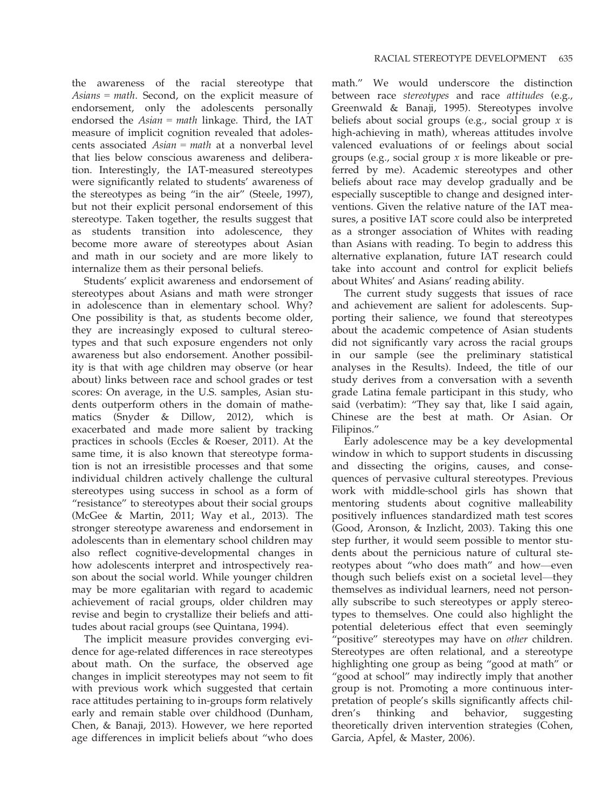the awareness of the racial stereotype that  $Asians = math. Second, on the explicit measure of$ endorsement, only the adolescents personally endorsed the  $Asian = math$  linkage. Third, the IAT measure of implicit cognition revealed that adolescents associated  $A$ sian = math at a nonverbal level that lies below conscious awareness and deliberation. Interestingly, the IAT-measured stereotypes were significantly related to students' awareness of the stereotypes as being "in the air" (Steele, 1997), but not their explicit personal endorsement of this stereotype. Taken together, the results suggest that as students transition into adolescence, they become more aware of stereotypes about Asian and math in our society and are more likely to internalize them as their personal beliefs.

Students' explicit awareness and endorsement of stereotypes about Asians and math were stronger in adolescence than in elementary school. Why? One possibility is that, as students become older, they are increasingly exposed to cultural stereotypes and that such exposure engenders not only awareness but also endorsement. Another possibility is that with age children may observe (or hear about) links between race and school grades or test scores: On average, in the U.S. samples, Asian students outperform others in the domain of mathematics (Snyder & Dillow, 2012), which is exacerbated and made more salient by tracking practices in schools (Eccles & Roeser, 2011). At the same time, it is also known that stereotype formation is not an irresistible processes and that some individual children actively challenge the cultural stereotypes using success in school as a form of "resistance" to stereotypes about their social groups (McGee & Martin, 2011; Way et al., 2013). The stronger stereotype awareness and endorsement in adolescents than in elementary school children may also reflect cognitive-developmental changes in how adolescents interpret and introspectively reason about the social world. While younger children may be more egalitarian with regard to academic achievement of racial groups, older children may revise and begin to crystallize their beliefs and attitudes about racial groups (see Quintana, 1994).

The implicit measure provides converging evidence for age-related differences in race stereotypes about math. On the surface, the observed age changes in implicit stereotypes may not seem to fit with previous work which suggested that certain race attitudes pertaining to in-groups form relatively early and remain stable over childhood (Dunham, Chen, & Banaji, 2013). However, we here reported age differences in implicit beliefs about "who does

math." We would underscore the distinction between race stereotypes and race attitudes (e.g., Greenwald & Banaji, 1995). Stereotypes involve beliefs about social groups (e.g., social group  $x$  is high-achieving in math), whereas attitudes involve valenced evaluations of or feelings about social groups (e.g., social group  $x$  is more likeable or preferred by me). Academic stereotypes and other beliefs about race may develop gradually and be especially susceptible to change and designed interventions. Given the relative nature of the IAT measures, a positive IAT score could also be interpreted as a stronger association of Whites with reading than Asians with reading. To begin to address this alternative explanation, future IAT research could take into account and control for explicit beliefs about Whites' and Asians' reading ability.

The current study suggests that issues of race and achievement are salient for adolescents. Supporting their salience, we found that stereotypes about the academic competence of Asian students did not significantly vary across the racial groups in our sample (see the preliminary statistical analyses in the Results). Indeed, the title of our study derives from a conversation with a seventh grade Latina female participant in this study, who said (verbatim): "They say that, like I said again, Chinese are the best at math. Or Asian. Or Filipinos."

Early adolescence may be a key developmental window in which to support students in discussing and dissecting the origins, causes, and consequences of pervasive cultural stereotypes. Previous work with middle-school girls has shown that mentoring students about cognitive malleability positively influences standardized math test scores (Good, Aronson, & Inzlicht, 2003). Taking this one step further, it would seem possible to mentor students about the pernicious nature of cultural stereotypes about "who does math" and how—even though such beliefs exist on a societal level—they themselves as individual learners, need not personally subscribe to such stereotypes or apply stereotypes to themselves. One could also highlight the potential deleterious effect that even seemingly "positive" stereotypes may have on *other* children. Stereotypes are often relational, and a stereotype highlighting one group as being "good at math" or "good at school" may indirectly imply that another group is not. Promoting a more continuous interpretation of people's skills significantly affects children's thinking and behavior, suggesting theoretically driven intervention strategies (Cohen, Garcia, Apfel, & Master, 2006).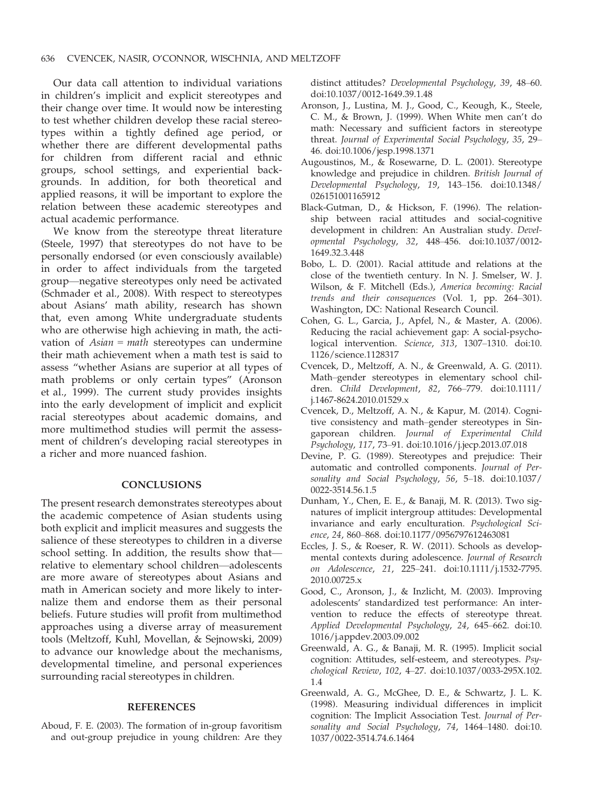Our data call attention to individual variations in children's implicit and explicit stereotypes and their change over time. It would now be interesting to test whether children develop these racial stereotypes within a tightly defined age period, or whether there are different developmental paths for children from different racial and ethnic groups, school settings, and experiential backgrounds. In addition, for both theoretical and applied reasons, it will be important to explore the relation between these academic stereotypes and actual academic performance.

We know from the stereotype threat literature (Steele, 1997) that stereotypes do not have to be personally endorsed (or even consciously available) in order to affect individuals from the targeted group—negative stereotypes only need be activated (Schmader et al., 2008). With respect to stereotypes about Asians' math ability, research has shown that, even among White undergraduate students who are otherwise high achieving in math, the activation of  $Asian = math$  stereotypes can undermine their math achievement when a math test is said to assess "whether Asians are superior at all types of math problems or only certain types" (Aronson et al., 1999). The current study provides insights into the early development of implicit and explicit racial stereotypes about academic domains, and more multimethod studies will permit the assessment of children's developing racial stereotypes in a richer and more nuanced fashion.

## **CONCLUSIONS**

The present research demonstrates stereotypes about the academic competence of Asian students using both explicit and implicit measures and suggests the salience of these stereotypes to children in a diverse school setting. In addition, the results show that relative to elementary school children—adolescents are more aware of stereotypes about Asians and math in American society and more likely to internalize them and endorse them as their personal beliefs. Future studies will profit from multimethod approaches using a diverse array of measurement tools (Meltzoff, Kuhl, Movellan, & Sejnowski, 2009) to advance our knowledge about the mechanisms, developmental timeline, and personal experiences surrounding racial stereotypes in children.

## REFERENCES

Aboud, F. E. (2003). The formation of in-group favoritism and out-group prejudice in young children: Are they distinct attitudes? Developmental Psychology, 39, 48–60. doi:10.1037/0012-1649.39.1.48

- Aronson, J., Lustina, M. J., Good, C., Keough, K., Steele, C. M., & Brown, J. (1999). When White men can't do math: Necessary and sufficient factors in stereotype threat. Journal of Experimental Social Psychology, 35, 29– 46. doi:10.1006/jesp.1998.1371
- Augoustinos, M., & Rosewarne, D. L. (2001). Stereotype knowledge and prejudice in children. British Journal of Developmental Psychology, 19, 143–156. doi:10.1348/ 026151001165912
- Black-Gutman, D., & Hickson, F. (1996). The relationship between racial attitudes and social-cognitive development in children: An Australian study. Developmental Psychology, 32, 448–456. doi:10.1037/0012- 1649.32.3.448
- Bobo, L. D. (2001). Racial attitude and relations at the close of the twentieth century. In N. J. Smelser, W. J. Wilson, & F. Mitchell (Eds.), America becoming: Racial trends and their consequences (Vol. 1, pp. 264–301). Washington, DC: National Research Council.
- Cohen, G. L., Garcia, J., Apfel, N., & Master, A. (2006). Reducing the racial achievement gap: A social-psychological intervention. Science, 313, 1307–1310. doi:10. 1126/science.1128317
- Cvencek, D., Meltzoff, A. N., & Greenwald, A. G. (2011). Math–gender stereotypes in elementary school children. Child Development, 82, 766–779. doi:10.1111/ j.1467-8624.2010.01529.x
- Cvencek, D., Meltzoff, A. N., & Kapur, M. (2014). Cognitive consistency and math–gender stereotypes in Singaporean children. Journal of Experimental Child Psychology, 117, 73–91. doi:10.1016/j.jecp.2013.07.018
- Devine, P. G. (1989). Stereotypes and prejudice: Their automatic and controlled components. Journal of Personality and Social Psychology, 56, 5–18. doi:10.1037/ 0022-3514.56.1.5
- Dunham, Y., Chen, E. E., & Banaji, M. R. (2013). Two signatures of implicit intergroup attitudes: Developmental invariance and early enculturation. Psychological Science, 24, 860–868. doi:10.1177/0956797612463081
- Eccles, J. S., & Roeser, R. W. (2011). Schools as developmental contexts during adolescence. Journal of Research on Adolescence, 21, 225–241. doi:10.1111/j.1532-7795. 2010.00725.x
- Good, C., Aronson, J., & Inzlicht, M. (2003). Improving adolescents' standardized test performance: An intervention to reduce the effects of stereotype threat. Applied Developmental Psychology, 24, 645–662. doi:10. 1016/j.appdev.2003.09.002
- Greenwald, A. G., & Banaji, M. R. (1995). Implicit social cognition: Attitudes, self-esteem, and stereotypes. Psychological Review, 102, 4–27. doi:10.1037/0033-295X.102. 1.4
- Greenwald, A. G., McGhee, D. E., & Schwartz, J. L. K. (1998). Measuring individual differences in implicit cognition: The Implicit Association Test. Journal of Personality and Social Psychology, 74, 1464–1480. doi:10. 1037/0022-3514.74.6.1464